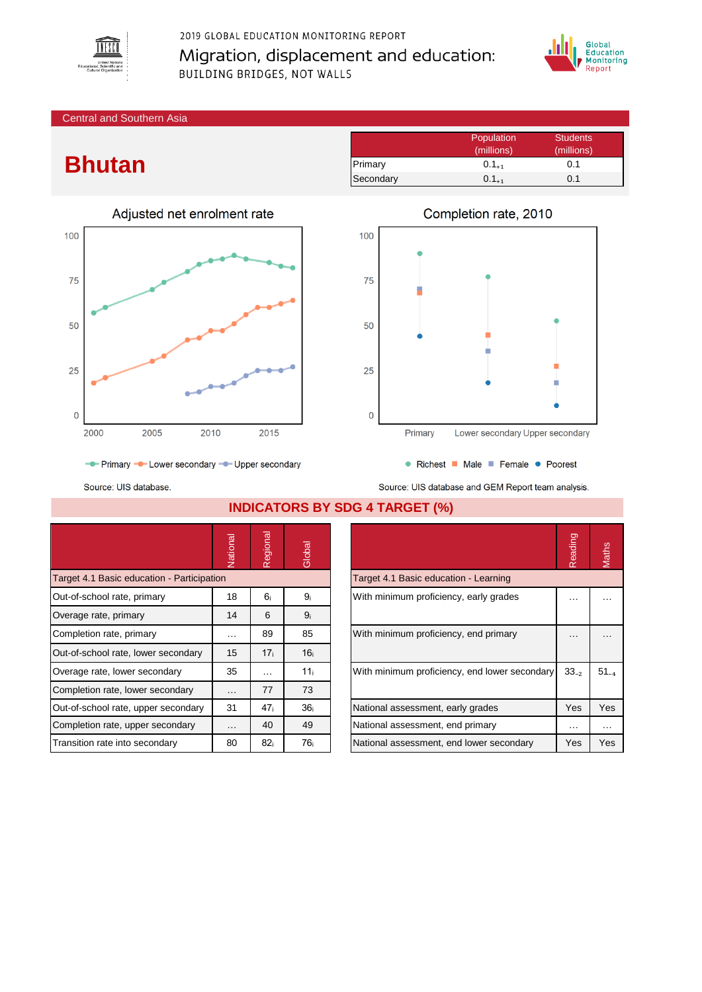

## 2019 GLOBAL EDUCATION MONITORING REPORT Migration, displacement and education: BUILDING BRIDGES, NOT WALLS



Central and Southern Asia

## **Bhutan**



|           | Population<br>(millions) | <b>Students</b><br>(millions) |
|-----------|--------------------------|-------------------------------|
| Primary   | $0.1_{+1}$               | 0.1                           |
| Secondary | $0.1_{+1}$               | 0.1                           |



- Primary - Lower secondary - Upper secondary

Source: UIS database.

Source: UIS database and GEM Report team analysis.

|                                            | Vational | Regional        | Global          |                                               | Reading   | Maths    |
|--------------------------------------------|----------|-----------------|-----------------|-----------------------------------------------|-----------|----------|
| Target 4.1 Basic education - Participation |          |                 |                 | Target 4.1 Basic education - Learning         |           |          |
| Out-of-school rate, primary                | 18       | 6 <sub>i</sub>  | 9 <sub>i</sub>  | With minimum proficiency, early grades        | .         |          |
| Overage rate, primary                      | 14       | 6               | 9 <sub>i</sub>  |                                               |           |          |
| Completion rate, primary                   | $\cdots$ | 89              | 85              | With minimum proficiency, end primary         | .         | .        |
| Out-of-school rate, lower secondary        | 15       | 17 <sub>i</sub> | 16 <sub>i</sub> |                                               |           |          |
| Overage rate, lower secondary              | 35       | $\cdots$        | 11 <sub>i</sub> | With minimum proficiency, end lower secondary | $33_{-2}$ | $51 - 4$ |
| Completion rate, lower secondary           | $\cdots$ | 77              | 73              |                                               |           |          |
| Out-of-school rate, upper secondary        | 31       | 47 <sub>i</sub> | 36 <sub>i</sub> | National assessment, early grades             | Yes       | Yes      |
| Completion rate, upper secondary           | $\cdots$ | 40              | 49              | National assessment, end primary              | $\cdots$  | $\cdots$ |
| Transition rate into secondary             | 80       | 82 <sub>i</sub> | 76 i            | National assessment, end lower secondary      | Yes       | Yes      |

**INDICATORS BY SDG 4 TARGET (%)**

|                                               | Reading   |           |
|-----------------------------------------------|-----------|-----------|
| Target 4.1 Basic education - Learning         |           |           |
| With minimum proficiency, early grades        |           |           |
| With minimum proficiency, end primary         |           |           |
| With minimum proficiency, end lower secondary | $33_{-2}$ | $51_{-4}$ |
| National assessment, early grades             | Yes       | Yes       |
| National assessment, end primary              |           |           |
| National assessment, end lower secondary      | Yes       | Yes       |

• Richest • Male • Female • Poorest